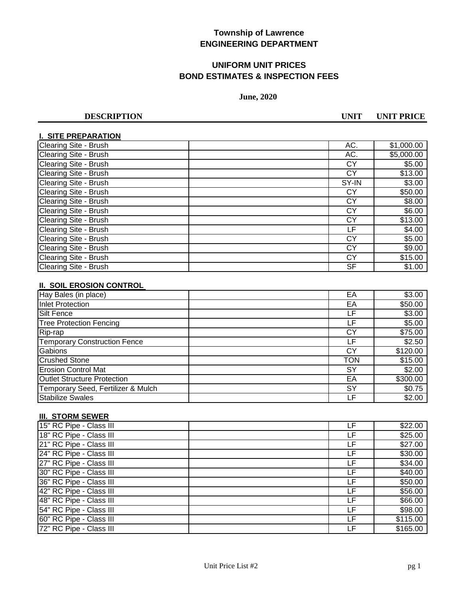# **UNIFORM UNIT PRICES BOND ESTIMATES & INSPECTION FEES**

### **June, 2020**

**DESCRIPTION UNIT UNIT PRICE**

## **I. SITE PREPARATION**

| Clearing Site - Brush | AC.       | \$1,000.00 |
|-----------------------|-----------|------------|
| Clearing Site - Brush | AC.       | \$5,000.00 |
| Clearing Site - Brush | CY        | \$5.00     |
| Clearing Site - Brush | СY        | \$13.00    |
| Clearing Site - Brush | SY-IN     | \$3.00     |
| Clearing Site - Brush | CY        | \$50.00    |
| Clearing Site - Brush | <b>CY</b> | \$8.00     |
| Clearing Site - Brush | СY        | \$6.00     |
| Clearing Site - Brush | <b>CY</b> | \$13.00    |
| Clearing Site - Brush | LF        | \$4.00     |
| Clearing Site - Brush | СY        | \$5.00     |
| Clearing Site - Brush | СY        | \$9.00     |
| Clearing Site - Brush | CY        | \$15.00    |
| Clearing Site - Brush | <b>SF</b> | \$1.00     |

## **II. SOIL EROSION CONTROL**

| Hay Bales (in place)                | EA  | \$3.00   |
|-------------------------------------|-----|----------|
| Inlet Protection                    | EA  | \$50.00  |
| <b>Silt Fence</b>                   | LF  | \$3.00   |
| <b>Tree Protection Fencing</b>      | LF  | \$5.00   |
| Rip-rap                             | СY  | \$75.00  |
| <b>Temporary Construction Fence</b> | LF  | \$2.50   |
| Gabions                             | СY  | \$120.00 |
| <b>Crushed Stone</b>                | TON | \$15.00  |
| <b>Erosion Control Mat</b>          | SY  | \$2.00   |
| <b>Outlet Structure Protection</b>  | EA  | \$300.00 |
| Temporary Seed, Fertilizer & Mulch  | SY  | \$0.75   |
| <b>Stabilize Swales</b>             | LF  | \$2.00   |

## **III. STORM SEWER**

| 15" RC Pipe - Class III | LF | \$22.00  |
|-------------------------|----|----------|
| 18" RC Pipe - Class III | LF | \$25.00  |
| 21" RC Pipe - Class III | LF | \$27.00  |
| 24" RC Pipe - Class III | LF | \$30.00  |
| 27" RC Pipe - Class III | LF | \$34.00  |
| 30" RC Pipe - Class III | LF | \$40.00  |
| 36" RC Pipe - Class III | LF | \$50.00  |
| 42" RC Pipe - Class III | LF | \$56.00  |
| 48" RC Pipe - Class III | LF | \$66.00  |
| 54" RC Pipe - Class III | LF | \$98.00  |
| 60" RC Pipe - Class III | LF | \$115.00 |
| 72" RC Pipe - Class III | LF | \$165.00 |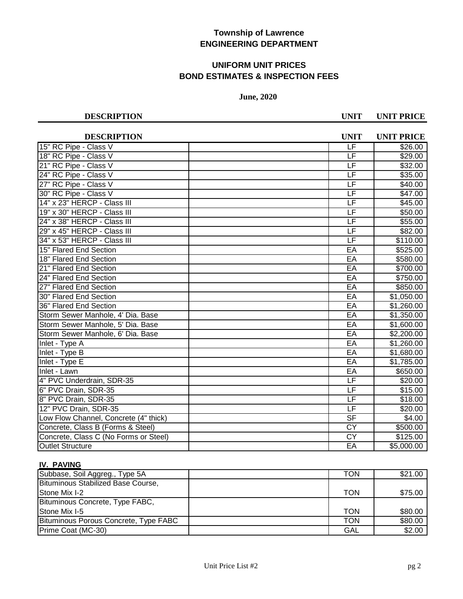# **UNIFORM UNIT PRICES BOND ESTIMATES & INSPECTION FEES**

### **June, 2020**

**DESCRIPTION UNIT UNIT PRICE**

| <b>DESCRIPTION</b>                    | <b>UNIT</b>              | <b>UNIT PRICE</b>     |
|---------------------------------------|--------------------------|-----------------------|
| 15" RC Pipe - Class V                 | LF                       | \$26.00               |
| 18" RC Pipe - Class V                 | LF                       | \$29.00               |
| 21" RC Pipe - Class V                 | LF                       | \$32.00               |
| 24" RC Pipe - Class V                 | LF                       | \$35.00               |
| 27" RC Pipe - Class V                 | $\overline{\mathsf{LF}}$ | \$40.00               |
| 30" RC Pipe - Class V                 | $\overline{\mathsf{LF}}$ | \$47.00               |
| 14" x 23" HERCP - Class III           | LF                       | \$45.00               |
| 19" x 30" HERCP - Class III           | $\overline{\mathsf{LF}}$ | \$50.00               |
| 24" x 38" HERCP - Class III           | $\overline{\mathsf{LF}}$ | \$55.00               |
| 29" x 45" HERCP - Class III           | $\overline{\mathsf{LF}}$ | \$82.00               |
| 34" x 53" HERCP - Class III           | $\overline{\mathsf{LF}}$ | \$110.00              |
| 15" Flared End Section                | EA                       | \$525.00              |
| 18" Flared End Section                | EA                       | \$580.00              |
| 21" Flared End Section                | EA                       | \$700.00              |
| 24" Flared End Section                | EA                       | \$750.00              |
| 27" Flared End Section                | EA                       | \$850.00              |
| 30" Flared End Section                | EA                       | \$1,050.00            |
| 36" Flared End Section                | EA                       | $\overline{1,260.00}$ |
| Storm Sewer Manhole, 4' Dia. Base     | EA                       | \$1,350.00            |
| Storm Sewer Manhole, 5' Dia. Base     | EA                       | \$1,600.00            |
| Storm Sewer Manhole, 6' Dia. Base     | EA                       | \$2,200.00            |
| Inlet - Type A                        | EA                       | \$1,260.00            |
| Inlet - Type B                        | EA                       | \$1,680.00            |
| Inlet - Type E                        | EA                       | \$1,785.00            |
| <b>Inlet - Lawn</b>                   | EA                       | \$650.00              |
| 4" PVC Underdrain, SDR-35             | $\overline{\mathsf{LF}}$ | \$20.00               |
| 6" PVC Drain, SDR-35                  | LF                       | \$15.00               |
| 8" PVC Drain, SDR-35                  | LF                       | \$18.00               |
| 12" PVC Drain, SDR-35                 | LF                       | \$20.00               |
| Low Flow Channel, Concrete (4" thick) | $\overline{\mathsf{SF}}$ | \$4.00                |
| Concrete, Class B (Forms & Steel)     | <b>CY</b>                | \$500.00              |
| Concrete, Class C (No Forms or Steel) | <b>CY</b>                | \$125.00              |
| <b>Outlet Structure</b>               | EA                       | \$5,000.00            |

## **IV. PAVING**

| Subbase, Soil Aggreg., Type 5A        | TON | \$21.00 |
|---------------------------------------|-----|---------|
| Bituminous Stabilized Base Course,    |     |         |
| Stone Mix I-2                         | TON | \$75.00 |
| Bituminous Concrete, Type FABC,       |     |         |
| Stone Mix I-5                         | TON | \$80.00 |
| Bituminous Porous Concrete, Type FABC | TON | \$80.00 |
| Prime Coat (MC-30)                    | GAL | \$2.00  |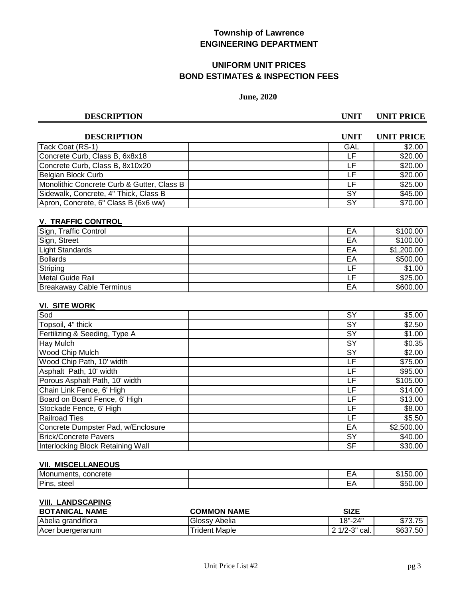# **UNIFORM UNIT PRICES BOND ESTIMATES & INSPECTION FEES**

## **June, 2020**

**DESCRIPTION UNIT UNIT PRICE**

| <b>DESCRIPTION</b>                         | UNIT      | <b>UNIT PRICE</b> |
|--------------------------------------------|-----------|-------------------|
| Tack Coat (RS-1)                           | GAL       | \$2.00            |
| Concrete Curb, Class B, 6x8x18             | ΙF        | \$20.00           |
| Concrete Curb, Class B, 8x10x20            | l F       | \$20.00           |
| Belgian Block Curb                         | l F       | \$20.00           |
| Monolithic Concrete Curb & Gutter, Class B | ΙF        | \$25.00           |
| Sidewalk, Concrete, 4" Thick, Class B      | <b>SY</b> | \$45.00           |
| Apron, Concrete, 6" Class B (6x6 ww)       | SY        | \$70.00           |

## **V. TRAFFIC CONTROL**

| Sign, Traffic Control           | EА | \$100.00   |
|---------------------------------|----|------------|
| Sign, Street                    | EА | \$100.00   |
| <b>Light Standards</b>          | EΑ | \$1,200.00 |
| Bollards                        | EA | \$500.00   |
| Striping                        | ۲F | \$1.00     |
| Metal Guide Rail                |    | \$25.00    |
| <b>Breakaway Cable Terminus</b> | EA | \$600.00   |

### **VI. SITE WORK**

| Sod                                | SY        | \$5.00     |
|------------------------------------|-----------|------------|
| Topsoil, 4" thick                  | SY        | \$2.50     |
| Fertilizing & Seeding, Type A      | <b>SY</b> | \$1.00     |
| Hay Mulch                          | SY        | \$0.35     |
| Wood Chip Mulch                    | SY        | \$2.00     |
| Wood Chip Path, 10' width          | LF        | \$75.00    |
| Asphalt Path, 10' width            | LF        | \$95.00    |
| Porous Asphalt Path, 10' width     | LF        | \$105.00   |
| Chain Link Fence, 6' High          | LF        | \$14.00    |
| Board on Board Fence, 6' High      | LF        | \$13.00    |
| Stockade Fence, 6' High            | LF        | \$8.00     |
| <b>Railroad Ties</b>               | LF        | \$5.50     |
| Concrete Dumpster Pad, w/Enclosure | EA        | \$2,500.00 |
| <b>Brick/Concrete Pavers</b>       | SY        | \$40.00    |
| Interlocking Block Retaining Wall  | SF        | \$30.00    |

#### **VII. MISCELLANEOUS**

| Monuments,<br>concrete | - 1 |  |
|------------------------|-----|--|
| Pins<br>steel          | --  |  |

#### **VIII. LANDSCAPING**

| <b>NAME</b><br><b>BOTANICAL</b> | <b>COMMON NAME</b>   | <b>SIZE</b>            |                                 |
|---------------------------------|----------------------|------------------------|---------------------------------|
| Abelia<br>u grandiflora         | <b>Glossy Abelia</b> | 18"-24"                | ጦግጣ<br>$\overline{ }$<br>৩/৩./Ე |
| <b>Acer</b><br>* buergeranum    | <b>Trident Maple</b> | 2.102<br>cal.<br>د-۱/∠ | \$637.50                        |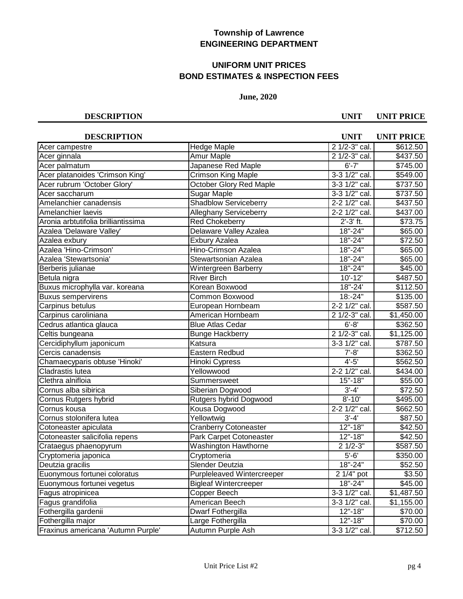# **UNIFORM UNIT PRICES BOND ESTIMATES & INSPECTION FEES**

### **June, 2020**

| <b>DESCRIPTION</b>                  |                                   | <b>UNIT</b>       | <b>UNIT PRICE</b> |
|-------------------------------------|-----------------------------------|-------------------|-------------------|
| Acer campestre                      | Hedge Maple                       | 2 1/2-3" cal.     | \$612.50          |
| Acer ginnala                        | Amur Maple                        | 2 1/2-3" cal.     | \$437.50          |
| Acer palmatum                       | Japanese Red Maple                | $6' - 7'$         | \$745.00          |
| Acer platanoides 'Crimson King'     | Crimson King Maple                | 3-3 1/2" cal.     | \$549.00          |
| Acer rubrum 'October Glory'         | <b>October Glory Red Maple</b>    | 3-3 1/2" cal.     | \$737.50          |
| Acer saccharum                      | Sugar Maple                       | 3-3 1/2" cal.     | \$737.50          |
| Amelanchier canadensis              | <b>Shadblow Serviceberry</b>      | 2-2 1/2" cal.     | \$437.50          |
| Amelanchier laevis                  | <b>Alleghany Serviceberry</b>     | 2-2 1/2" cal.     | \$437.00          |
| Aronia arbtutifolia brilliantissima | <b>Red Chokeberry</b>             | $2' - 3'$ ft.     | \$73.75           |
| Azalea 'Delaware Valley'            | Delaware Valley Azalea            | $18" - 24"$       | \$65.00           |
| Azalea exbury                       | Exbury Azalea                     | 18"-24"           | \$72.50           |
| Azalea 'Hino-Crimson'               | <b>Hino-Crimson Azalea</b>        | $18" - 24"$       | \$65.00           |
| Azalea 'Stewartsonia'               | Stewartsonian Azalea              | $18" - 24"$       | \$65.00           |
| Berberis julianae                   | Wintergreen Barberry              | $18" - 24"$       | \$45.00           |
| Betula nigra                        | <b>River Birch</b>                | $10' - 12'$       | \$487.50          |
| Buxus microphylla var. koreana      | Korean Boxwood                    | 18"-24'           | \$112.50          |
| <b>Buxus sempervirens</b>           | Common Boxwood                    | $18: -24"$        | \$135.00          |
| Carpinus betulus                    | European Hornbeam                 | 2-2 1/2" cal.     | \$587.50          |
| Carpinus caroliniana                | American Hornbeam                 | 2 1/2-3" cal.     | \$1,450.00        |
| Cedrus atlantica glauca             | <b>Blue Atlas Cedar</b>           | $6' - 8'$         | \$362.50          |
| Celtis bungeana                     | <b>Bunge Hackberry</b>            | 2 1/2-3" cal.     | \$1,125.00        |
| Cercidiphyllum japonicum            | Katsura                           | 3-3 1/2" cal.     | \$787.50          |
| Cercis canadensis                   | Eastern Redbud                    | $7' - 8'$         | \$362.50          |
| Chamaecyparis obtuse 'Hinoki'       | Hinoki Cypress                    | $4' - 5'$         | \$562.50          |
| Cladrastis lutea                    | Yellowwood                        | $2 - 2$ 1/2" cal. | \$434.00          |
| Clethra alnifloia                   | Summersweet                       | $15 - 18$         | \$55.00           |
| Cornus alba sibirica                | Siberian Dogwood                  | $3' - 4'$         | \$72.50           |
| Cornus Rutgers hybrid               | Rutgers hybrid Dogwood            | $8' - 10'$        | \$495.00          |
| Cornus kousa                        | Kousa Dogwood                     | 2-2 1/2" cal.     | \$662.50          |
| Cornus stolonifera lutea            | Yellowtwig                        | $3' - 4'$         | \$87.50           |
| Cotoneaster apiculata               | <b>Cranberry Cotoneaster</b>      | $12" - 18"$       | \$42.50           |
| Cotoneaster salicifolia repens      | Park Carpet Cotoneaster           | $12" - 18"$       | \$42.50           |
| Crataegus phaenopyrum               | Washington Hawthorne              | $21/2-3"$         | \$587.50          |
| Cryptomeria japonica                | Cryptomeria                       | $5'-6'$           | \$350.00          |
| Deutzia gracilis                    | Slender Deutzia                   | 18"-24"           | \$52.50           |
| Euonymous fortunei coloratus        | <b>Purpleleaved Wintercreeper</b> | $21/4"$ pot       | \$3.50            |
| Euonymous fortunei vegetus          | <b>Bigleaf Wintercreeper</b>      | 18"-24"           | \$45.00           |
| Fagus atropinicea                   | Copper Beech                      | 3-3 1/2" cal.     | \$1,487.50        |
| Fagus grandifolia                   | American Beech                    | 3-3 1/2" cal.     | \$1,155.00        |
| Fothergilla gardenii                | Dwarf Fothergilla                 | $12" - 18"$       | \$70.00           |
| Fothergilla major                   | Large Fothergilla                 | $12" - 18"$       | \$70.00           |
| Fraxinus americana 'Autumn Purple'  | Autumn Purple Ash                 | 3-3 1/2" cal.     | \$712.50          |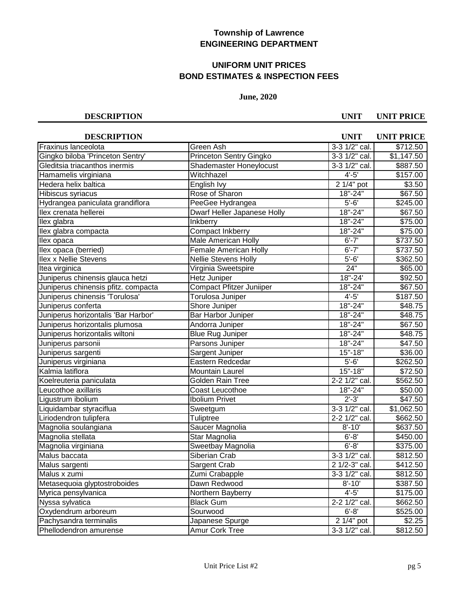# **UNIFORM UNIT PRICES BOND ESTIMATES & INSPECTION FEES**

## **June, 2020**

| <b>DESCRIPTION</b>                  |                                | <b>UNIT</b>   | <b>UNIT PRICE</b>  |
|-------------------------------------|--------------------------------|---------------|--------------------|
| Fraxinus lanceolota                 | Green Ash                      | 3-3 1/2" cal. | \$712.50           |
| Gingko biloba 'Princeton Sentry'    | <b>Princeton Sentry Gingko</b> | 3-3 1/2" cal. | \$1,147.50         |
| Gleditsia triacanthos inermis       | Shademaster Honeylocust        | 3-3 1/2" cal. | \$887.50           |
| Hamamelis virginiana                | Witchhazel                     | $4' - 5'$     | \$157.00           |
| Hedera helix baltica                | English Ivy                    | $21/4$ " pot  | \$3.50             |
| Hibiscus syriacus                   | Rose of Sharon                 | $18 - 24$     | \$67.50            |
| Hydrangea paniculata grandiflora    | PeeGee Hydrangea               | $5 - 6'$      | \$245.00           |
| llex crenata hellerei               | Dwarf Heller Japanese Holly    | $18" - 24"$   | \$67.50            |
| llex glabra                         | <b>Inkberry</b>                | $18" - 24"$   | \$75.00            |
| llex glabra compacta                | <b>Compact Inkberry</b>        | $18" - 24"$   | \$75.00            |
| llex opaca                          | <b>Male American Holly</b>     | $6' - 7'$     | \$737.50           |
| llex opaca (berried)                | <b>Female American Holly</b>   | $6' - 7'$     | \$737.50           |
| <b>Ilex x Nellie Stevens</b>        | <b>Nellie Stevens Holly</b>    | $5 - 6'$      | \$362.50           |
| Itea virginica                      | Virginia Sweetspire            | 24"           | \$65.00            |
| Juniperus chinensis glauca hetzi    | Hetz Juniper                   | 18"-24'       | \$92.50            |
| Juniperus chinensis pfitz. compacta | Compact Pfitzer Juniiper       | $18" - 24"$   | \$67.50            |
| Juniperus chinensis 'Torulosa'      | Torulosa Juniper               | $4' - 5'$     | \$187.50           |
| Juniperus conferta                  | Shore Juniper                  | 18"-24"       | \$48.75            |
| Juniperus horizontalis 'Bar Harbor' | Bar Harbor Juniper             | 18"-24"       | \$48.75            |
| Juniperus horizontalis plumosa      | Andorra Juniper                | $18 - 24$     | $\frac{1}{667.50}$ |
| Juniperus horizontalis wiltoni      | <b>Blue Rug Juniper</b>        | $18 - 24$     | \$48.75            |
| Juniperus parsonii                  | Parsons Juniper                | 18"-24"       | \$47.50            |
| Juniperus sargenti                  | Sargent Juniper                | $15 - 18$     | \$36.00            |
| Juniperus virginiana                | Eastern Redcedar               | $5 - 6'$      | \$262.50           |
| Kalmia latiflora                    | <b>Mountain Laurel</b>         | $15" - 18"$   | \$72.50            |
| Koelreuteria paniculata             | Golden Rain Tree               | 2-2 1/2" cal. | \$562.50           |
| Leucothoe axillaris                 | Coast Leucothoe                | 18"-24"       | \$50.00            |
| Ligustrum ibolium                   | <b>Ibolium Privet</b>          | $2' - 3'$     | \$47.50            |
| Liquidambar styraciflua             | Sweetgum                       | 3-3 1/2" cal. | \$1,062.50         |
| Liriodendron tulipfera              | Tuliptree                      | 2-2 1/2" cal. | \$662.50           |
| Magnolia soulangiana                | Saucer Magnolia                | $8' - 10'$    | $\sqrt{$}637.50$   |
| Magnolia stellata                   | Star Magnolia                  | $6' - 8'$     | \$450.00           |
| Magnolia virginiana                 | Sweetbay Magnolia              | $6' - 8'$     | \$375.00           |
| Malus baccata                       | Siberian Crab                  | 3-3 1/2" cal. | \$812.50           |
| Malus sargenti                      | Sargent Crab                   | 2 1/2-3" cal. | \$412.50           |
| Malus x zumi                        | Zumi Crabapple                 | 3-3 1/2" cal. | \$812.50           |
| Metasequoia glyptostroboides        | Dawn Redwood                   | $8' - 10'$    | \$387.50           |
| Myrica pensylvanica                 | Northern Bayberry              | $4'-5'$       | \$175.00           |
| Nyssa sylvatica                     | <b>Black Gum</b>               | 2-2 1/2" cal. | \$662.50           |
| Oxydendrum arboreum                 | Sourwood                       | $6' - 8'$     | \$525.00           |
| Pachysandra terminalis              | Japanese Spurge                | $21/4"$ pot   | \$2.25             |
| Phellodendron amurense              | Amur Cork Tree                 | 3-3 1/2" cal. | \$812.50           |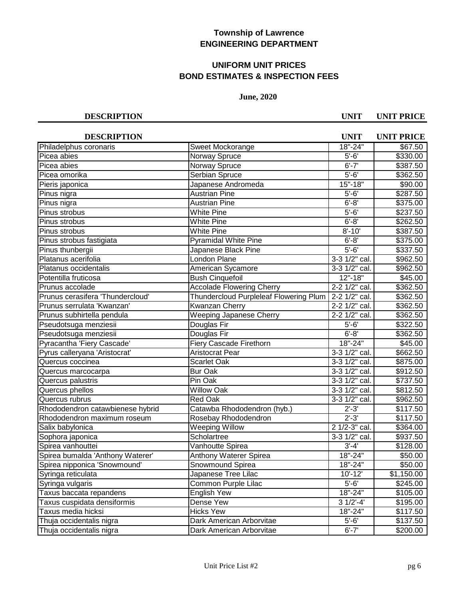# **UNIFORM UNIT PRICES BOND ESTIMATES & INSPECTION FEES**

## **June, 2020**

| <b>DESCRIPTION</b>               |                                        | <b>UNIT</b>          | <b>UNIT PRICE</b> |
|----------------------------------|----------------------------------------|----------------------|-------------------|
| Philadelphus coronaris           | Sweet Mockorange                       | 18"-24"              | \$67.50           |
| Picea abies                      | Norway Spruce                          | $5'-6'$              | \$330.00          |
| Picea abies                      | Norway Spruce                          | $6' - 7'$            | \$387.50          |
| Picea omorika                    | <b>Serbian Spruce</b>                  | $5 - 6'$             | \$362.50          |
| Pieris japonica                  | Japanese Andromeda                     | $15" - 18"$          | \$90.00           |
| Pinus nigra                      | <b>Austrian Pine</b>                   | $\overline{5' - 6'}$ | \$287.50          |
| Pinus nigra                      | <b>Austrian Pine</b>                   | $6 - 8$              | \$375.00          |
| Pinus strobus                    | <b>White Pine</b>                      | $5 - 6$              | \$237.50          |
| Pinus strobus                    | <b>White Pine</b>                      | $6' - 8'$            | \$262.50          |
| Pinus strobus                    | <b>White Pine</b>                      | $8' - 10'$           | \$387.50          |
| Pinus strobus fastigiata         | <b>Pyramidal White Pine</b>            | $6 - 8$              | \$375.00          |
| Pinus thunbergii                 | Japanese Black Pine                    | $5' - 6'$            | \$337.50          |
| Platanus acerifolia              | <b>London Plane</b>                    | 3-3 1/2" cal.        | \$962.50          |
| Platanus occidentalis            | American Sycamore                      | 3-3 1/2" cal.        | \$962.50          |
| Potentilla fruticosa             | <b>Bush Cinquefoil</b>                 | $12" - 18"$          | \$45.00           |
| Prunus accolade                  | <b>Accolade Flowering Cherry</b>       | 2-2 1/2" cal.        | \$362.50          |
| Prunus cerasifera 'Thundercloud' | Thundercloud Purpleleaf Flowering Plum | 2-2 1/2" cal.        | \$362.50          |
| Prunus serrulata 'Kwanzan'       | Kwanzan Cherry                         | 2-2 1/2" cal.        | \$362.50          |
| Prunus subhirtella pendula       | Weeping Japanese Cherry                | 2-2 1/2" cal.        | \$362.50          |
| Pseudotsuga menziesii            | Douglas Fir                            | $5' - 6'$            | \$322.50          |
| Pseudotsuga menziesii            | Douglas Fir                            | $6' - 8'$            | \$362.50          |
| Pyracantha 'Fiery Cascade'       | Fiery Cascade Firethorn                | 18"-24"              | \$45.00           |
| Pyrus calleryana 'Aristocrat'    | <b>Aristocrat Pear</b>                 | 3-3 1/2" cal.        | \$662.50          |
| Quercus coccinea                 | Scarlet Oak                            | 3-3 1/2" cal.        | \$875.00          |
| Quercus marcocarpa               | <b>Bur Oak</b>                         | 3-3 1/2" cal.        | \$912.50          |
| Quercus palustris                | Pin Oak                                | 3-3 1/2" cal.        | \$737.50          |
| Quercus phellos                  | <b>Willow Oak</b>                      | 3-3 1/2" cal.        | \$812.50          |
| Quercus rubrus                   | <b>Red Oak</b>                         | 3-3 1/2" cal.        | \$962.50          |
| Rhododendron catawbienese hybrid | Catawba Rhododendron (hyb.)            | $2' - 3'$            | \$117.50          |
| Rhododendron maximum roseum      | Rosebay Rhododendron                   | $2' - 3'$            | \$117.50          |
| Salix babylonica                 | <b>Weeping Willow</b>                  | 2 1/2-3" cal.        | \$364.00          |
| Sophora japonica                 | Scholartree                            | 3-3 1/2" cal.        | \$937.50          |
| Spirea vanhouttei                | Vanhoutte Spirea                       | $3' - 4'$            | \$128.00          |
| Spirea bumalda 'Anthony Waterer' | Anthony Waterer Spirea                 | 18"-24"              | \$50.00           |
| Spirea nipponica 'Snowmound'     | Snowmound Spirea                       | 18"-24"              | \$50.00           |
| Syringa reticulata               | Japanese Tree Lilac                    | $10' - 12'$          | \$1,150.00        |
| Syringa vulgaris                 | Common Purple Lilac                    | $\overline{5}'$ -6'  | \$245.00          |
| Taxus baccata repandens          | English Yew                            | $18" - 24"$          | \$105.00          |
| Taxus cuspidata densiformis      | Dense Yew                              | $31/2'-4'$           | \$195.00          |
| Taxus media hicksi               | <b>Hicks Yew</b>                       | 18"-24"              | \$117.50          |
| Thuja occidentalis nigra         | Dark American Arborvitae               | $5' - 6'$            | \$137.50          |
| Thuja occidentalis nigra         | Dark American Arborvitae               | $6' - 7'$            | \$200.00          |